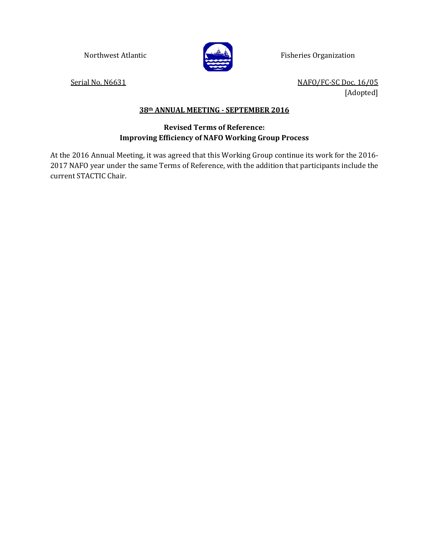

Northwest Atlantic **Fisheries Organization** 

Serial No. N6631 No. N6631 [Adopted]

## **38th ANNUAL MEETING - SEPTEMBER 2016**

## **Revised Terms of Reference: Improving Efficiency of NAFO Working Group Process**

At the 2016 Annual Meeting, it was agreed that this Working Group continue its work for the 2016- 2017 NAFO year under the same Terms of Reference, with the addition that participants include the current STACTIC Chair.